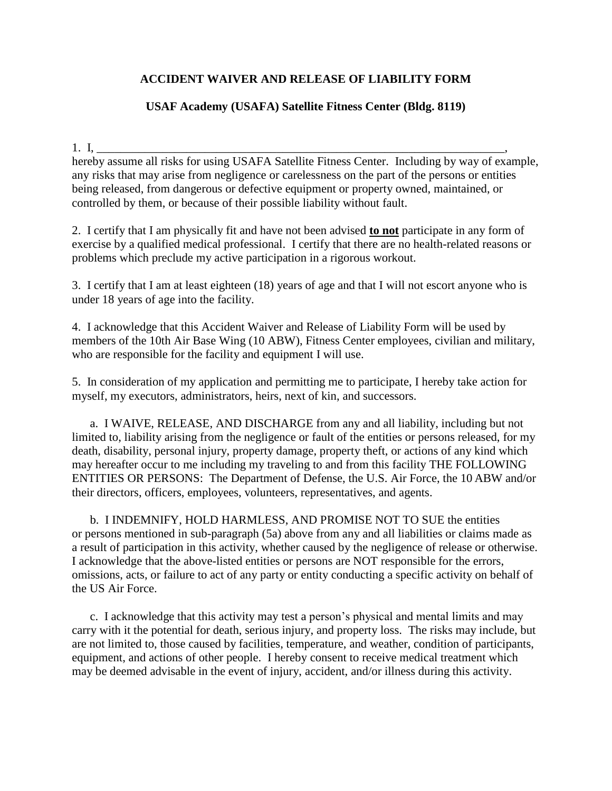## **ACCIDENT WAIVER AND RELEASE OF LIABILITY FORM**

## **USAF Academy (USAFA) Satellite Fitness Center (Bldg. 8119)**

## 1. I,

hereby assume all risks for using USAFA Satellite Fitness Center. Including by way of example, any risks that may arise from negligence or carelessness on the part of the persons or entities being released, from dangerous or defective equipment or property owned, maintained, or controlled by them, or because of their possible liability without fault.

2. I certify that I am physically fit and have not been advised **to not** participate in any form of exercise by a qualified medical professional. I certify that there are no health-related reasons or problems which preclude my active participation in a rigorous workout.

3. I certify that I am at least eighteen (18) years of age and that I will not escort anyone who is under 18 years of age into the facility.

4. I acknowledge that this Accident Waiver and Release of Liability Form will be used by members of the 10th Air Base Wing (10 ABW), Fitness Center employees, civilian and military, who are responsible for the facility and equipment I will use.

5. In consideration of my application and permitting me to participate, I hereby take action for myself, my executors, administrators, heirs, next of kin, and successors.

a. I WAIVE, RELEASE, AND DISCHARGE from any and all liability, including but not limited to, liability arising from the negligence or fault of the entities or persons released, for my death, disability, personal injury, property damage, property theft, or actions of any kind which may hereafter occur to me including my traveling to and from this facility THE FOLLOWING ENTITIES OR PERSONS: The Department of Defense, the U.S. Air Force, the 10 ABW and/or their directors, officers, employees, volunteers, representatives, and agents.

b. I INDEMNIFY, HOLD HARMLESS, AND PROMISE NOT TO SUE the entities or persons mentioned in sub-paragraph (5a) above from any and all liabilities or claims made as a result of participation in this activity, whether caused by the negligence of release or otherwise. I acknowledge that the above-listed entities or persons are NOT responsible for the errors, omissions, acts, or failure to act of any party or entity conducting a specific activity on behalf of the US Air Force.

c. I acknowledge that this activity may test a person's physical and mental limits and may carry with it the potential for death, serious injury, and property loss. The risks may include, but are not limited to, those caused by facilities, temperature, and weather, condition of participants, equipment, and actions of other people. I hereby consent to receive medical treatment which may be deemed advisable in the event of injury, accident, and/or illness during this activity.